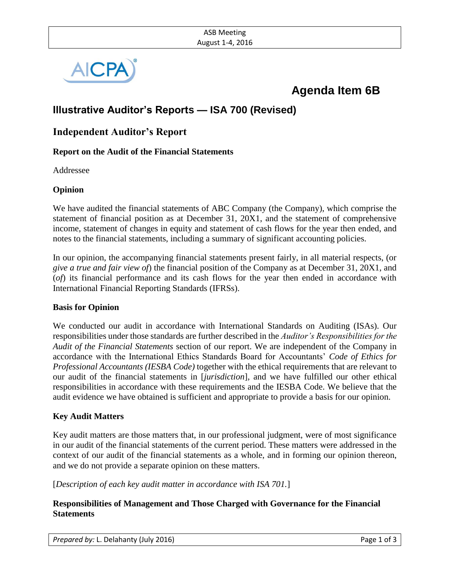

# **Agenda Item 6B**

# **Illustrative Auditor's Reports — ISA 700 (Revised)**

# **Independent Auditor's Report**

#### **Report on the Audit of the Financial Statements**

Addressee

#### **Opinion**

We have audited the financial statements of ABC Company (the Company), which comprise the statement of financial position as at December 31, 20X1, and the statement of comprehensive income, statement of changes in equity and statement of cash flows for the year then ended, and notes to the financial statements, including a summary of significant accounting policies.

In our opinion, the accompanying financial statements present fairly, in all material respects, (or *give a true and fair view of*) the financial position of the Company as at December 31, 20X1, and (*of*) its financial performance and its cash flows for the year then ended in accordance with International Financial Reporting Standards (IFRSs).

#### **Basis for Opinion**

We conducted our audit in accordance with International Standards on Auditing (ISAs). Our responsibilities under those standards are further described in the *Auditor's Responsibilities for the Audit of the Financial Statements* section of our report. We are independent of the Company in accordance with the International Ethics Standards Board for Accountants' *Code of Ethics for Professional Accountants (IESBA Code)* together with the ethical requirements that are relevant to our audit of the financial statements in [*jurisdiction*], and we have fulfilled our other ethical responsibilities in accordance with these requirements and the IESBA Code. We believe that the audit evidence we have obtained is sufficient and appropriate to provide a basis for our opinion.

#### **Key Audit Matters**

Key audit matters are those matters that, in our professional judgment, were of most significance in our audit of the financial statements of the current period. These matters were addressed in the context of our audit of the financial statements as a whole, and in forming our opinion thereon, and we do not provide a separate opinion on these matters.

[*Description of each key audit matter in accordance with ISA 701.*]

## **Responsibilities of Management and Those Charged with Governance for the Financial Statements**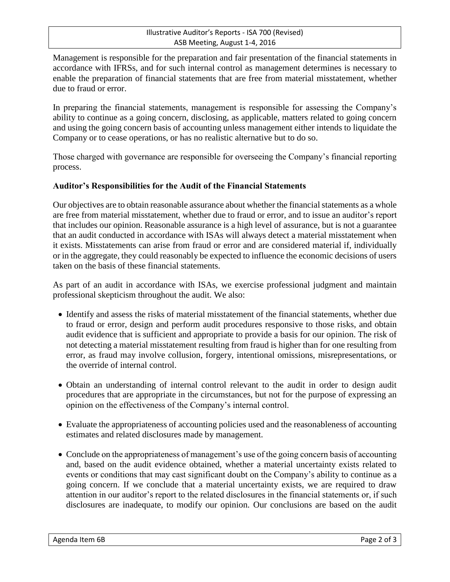Management is responsible for the preparation and fair presentation of the financial statements in accordance with IFRSs, and for such internal control as management determines is necessary to enable the preparation of financial statements that are free from material misstatement, whether due to fraud or error.

In preparing the financial statements, management is responsible for assessing the Company's ability to continue as a going concern, disclosing, as applicable, matters related to going concern and using the going concern basis of accounting unless management either intends to liquidate the Company or to cease operations, or has no realistic alternative but to do so.

Those charged with governance are responsible for overseeing the Company's financial reporting process.

## **Auditor's Responsibilities for the Audit of the Financial Statements**

Our objectives are to obtain reasonable assurance about whether the financial statements as a whole are free from material misstatement, whether due to fraud or error, and to issue an auditor's report that includes our opinion. Reasonable assurance is a high level of assurance, but is not a guarantee that an audit conducted in accordance with ISAs will always detect a material misstatement when it exists. Misstatements can arise from fraud or error and are considered material if, individually or in the aggregate, they could reasonably be expected to influence the economic decisions of users taken on the basis of these financial statements.

As part of an audit in accordance with ISAs, we exercise professional judgment and maintain professional skepticism throughout the audit. We also:

- Identify and assess the risks of material misstatement of the financial statements, whether due to fraud or error, design and perform audit procedures responsive to those risks, and obtain audit evidence that is sufficient and appropriate to provide a basis for our opinion. The risk of not detecting a material misstatement resulting from fraud is higher than for one resulting from error, as fraud may involve collusion, forgery, intentional omissions, misrepresentations, or the override of internal control.
- Obtain an understanding of internal control relevant to the audit in order to design audit procedures that are appropriate in the circumstances, but not for the purpose of expressing an opinion on the effectiveness of the Company's internal control.
- Evaluate the appropriateness of accounting policies used and the reasonableness of accounting estimates and related disclosures made by management.
- Conclude on the appropriateness of management's use of the going concern basis of accounting and, based on the audit evidence obtained, whether a material uncertainty exists related to events or conditions that may cast significant doubt on the Company's ability to continue as a going concern. If we conclude that a material uncertainty exists, we are required to draw attention in our auditor's report to the related disclosures in the financial statements or, if such disclosures are inadequate, to modify our opinion. Our conclusions are based on the audit